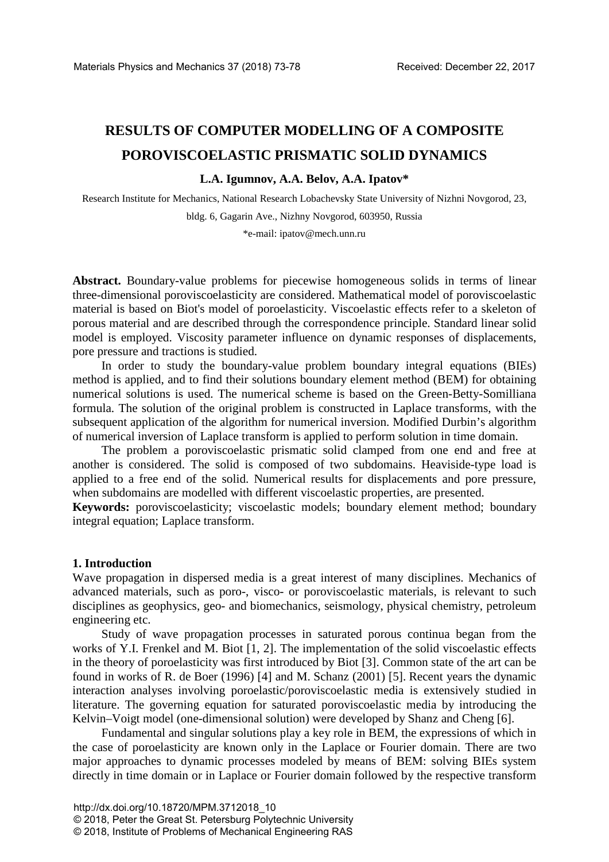# **RESULTS OF COMPUTER MODELLING OF A COMPOSITE POROVISCOELASTIC PRISMATIC SOLID DYNAMICS**

## **L.A. Igumnov, A.A. Belov, A.A. Ipatov\***

Research Institute for Mechanics, National Research Lobachevsky State University of Nizhni Novgorod, 23, bldg. 6, Gagarin Ave., Nizhny Novgorod, 603950, Russia

\*e-mail: ipatov@mech.unn.ru

**Abstract.** Boundary-value problems for piecewise homogeneous solids in terms of linear three-dimensional poroviscoelasticity are considered. Mathematical model of poroviscoelastic material is based on Biot's model of poroelasticity. Viscoelastic effects refer to a skeleton of porous material and are described through the correspondence principle. Standard linear solid model is employed. Viscosity parameter influence on dynamic responses of displacements, pore pressure and tractions is studied.

In order to study the boundary-value problem boundary integral equations (BIEs) method is applied, and to find their solutions boundary element method (BEM) for obtaining numerical solutions is used. The numerical scheme is based on the Green-Betty-Somilliana formula. The solution of the original problem is constructed in Laplace transforms, with the subsequent application of the algorithm for numerical inversion. Modified Durbin's algorithm of numerical inversion of Laplace transform is applied to perform solution in time domain.

The problem a poroviscoelastic prismatic solid clamped from one end and free at another is considered. The solid is composed of two subdomains. Heaviside-type load is applied to a free end of the solid. Numerical results for displacements and pore pressure, when subdomains are modelled with different viscoelastic properties, are presented.

**Keywords:** poroviscoelasticity; viscoelastic models; boundary element method; boundary integral equation; Laplace transform.

## **1. Introduction**

Wave propagation in dispersed media is a great interest of many disciplines. Mechanics of advanced materials, such as poro-, visco- or poroviscoelastic materials, is relevant to such disciplines as geophysics, geo- and biomechanics, seismology, physical chemistry, petroleum engineering etc.

Study of wave propagation processes in saturated porous continua began from the works of Y.I. Frenkel and M. Biot [1, 2]. The implementation of the solid viscoelastic effects in the theory of poroelasticity was first introduced by Biot [3]. Common state of the art can be found in works of R. de Boer (1996) [4] and M. Schanz (2001) [5]. Recent years the dynamic interaction analyses involving poroelastic/poroviscoelastic media is extensively studied in literature. The governing equation for saturated poroviscoelastic media by introducing the Kelvin–Voigt model (one-dimensional solution) were developed by Shanz and Cheng [6].

Fundamental and singular solutions play a key role in BEM, the expressions of which in the case of poroelasticity are known only in the Laplace or Fourier domain. There are two major approaches to dynamic processes modeled by means of BEM: solving BIEs system directly in time domain or in Laplace or Fourier domain followed by the respective transform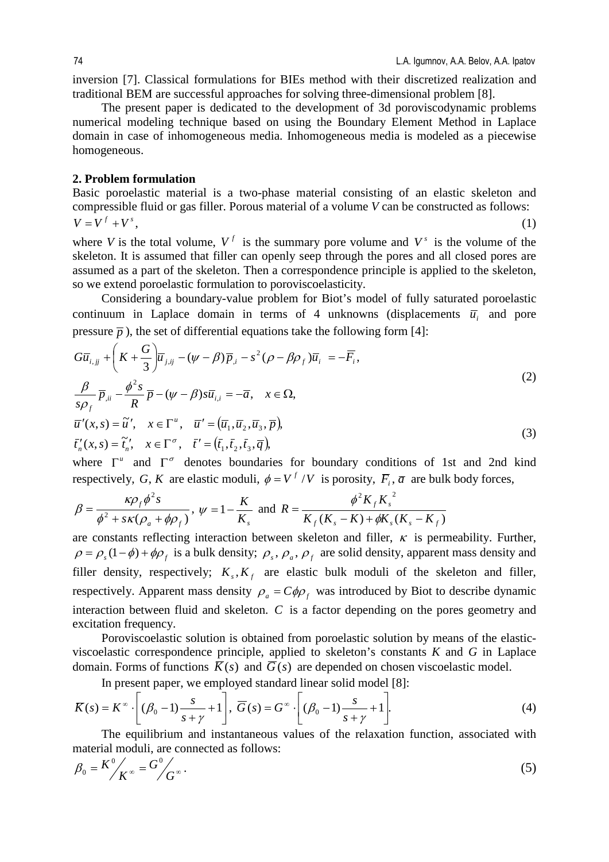inversion [7]. Classical formulations for BIEs method with their discretized realization and traditional BEM are successful approaches for solving three-dimensional problem [8].

The present paper is dedicated to the development of 3d poroviscodynamic problems numerical modeling technique based on using the Boundary Element Method in Laplace domain in case of inhomogeneous media. Inhomogeneous media is modeled as a piecewise homogeneous.

## **2. Problem formulation**

Basic poroelastic material is a two-phase material consisting of an elastic skeleton and compressible fluid or gas filler. Porous material of a volume *V* can be constructed as follows:  $V = V^f + V^s$ , (1)

where *V* is the total volume,  $V^f$  is the summary pore volume and  $V^s$  is the volume of the skeleton. It is assumed that filler can openly seep through the pores and all closed pores are assumed as a part of the skeleton. Then a correspondence principle is applied to the skeleton, so we extend poroelastic formulation to poroviscoelasticity.

Considering a boundary-value problem for Biot's model of fully saturated poroelastic continuum in Laplace domain in terms of 4 unknowns (displacements  $\overline{u}$  and pore pressure  $\bar{p}$ ), the set of differential equations take the following form [4]:

$$
G\overline{u}_{i,jj} + \left(K + \frac{G}{3}\right)\overline{u}_{j,jj} - (\psi - \beta)\overline{p}_{,i} - s^2(\rho - \beta\rho_f)\overline{u}_i = -\overline{F}_i,
$$
  
\n
$$
\frac{\beta}{s\rho_f}\overline{p}_{,ii} - \frac{\phi^2 s}{R}\overline{p} - (\psi - \beta)s\overline{u}_{i,i} = -\overline{a}, \quad x \in \Omega,
$$
  
\n
$$
\overline{u}'(x,s) = \widetilde{u}', \quad x \in \Gamma^u, \quad \overline{u}' = (\overline{u}_1, \overline{u}_2, \overline{u}_3, \overline{p}),
$$
  
\n
$$
\overline{t}'_n(x,s) = \widetilde{t}'_n, \quad x \in \Gamma^\sigma, \quad \overline{t}' = (\overline{t}_1, \overline{t}_2, \overline{t}_3, \overline{q}),
$$
\n(3)

where  $\Gamma^u$  and  $\Gamma^{\sigma}$  denotes boundaries for boundary conditions of 1st and 2nd kind respectively, G, K are elastic moduli,  $\phi = V^f / V$  is porosity,  $\overline{F}_i$ ,  $\overline{a}$  are bulk body forces,

$$
\beta = \frac{\kappa \rho_f \phi^2 s}{\phi^2 + s\kappa (\rho_a + \phi \rho_f)}, \ \psi = 1 - \frac{K}{K_s} \ \text{and} \ \ R = \frac{\phi^2 K_f K_s^2}{K_f(K_s - K) + \phi K_s(K_s - K_f)}
$$

are constants reflecting interaction between skeleton and filler,  $\kappa$  is permeability. Further,  $\rho = \rho_s(1-\phi) + \phi \rho_f$  is a bulk density;  $\rho_s$ ,  $\rho_a$ ,  $\rho_f$  are solid density, apparent mass density and filler density, respectively;  $K_{\epsilon}$ ,  $K_{\epsilon}$  are elastic bulk moduli of the skeleton and filler, respectively. Apparent mass density  $\rho_a = C \phi \rho_f$  was introduced by Biot to describe dynamic interaction between fluid and skeleton. *C* is a factor depending on the pores geometry and excitation frequency.

Poroviscoelastic solution is obtained from poroelastic solution by means of the elasticviscoelastic correspondence principle, applied to skeleton's constants *K* and *G* in Laplace domain. Forms of functions  $\overline{K}(s)$  and  $\overline{G}(s)$  are depended on chosen viscoelastic model.

In present paper, we employed standard linear solid model [8]:

$$
\overline{K}(s) = K^{\infty} \cdot \left[ (\beta_0 - 1) \frac{s}{s + \gamma} + 1 \right], \ \overline{G}(s) = G^{\infty} \cdot \left[ (\beta_0 - 1) \frac{s}{s + \gamma} + 1 \right].
$$
\n(4)

The equilibrium and instantaneous values of the relaxation function, associated with material moduli, are connected as follows:

$$
\beta_0 = K^0 / K^{\infty} = G^0 / G^{\infty} \,. \tag{5}
$$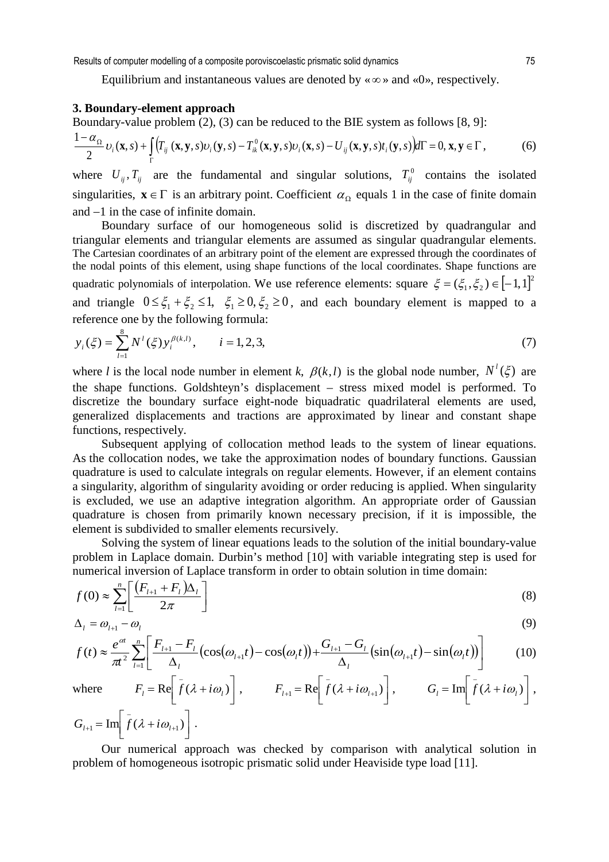Results of computer modelling of a composite poroviscoelastic prismatic solid dynamics 75

Equilibrium and instantaneous values are denoted by « $\infty$ » and « $0$ », respectively.

# **3. Boundary-element approach**

Boundary-value problem (2), (3) can be reduced to the BIE system as follows [8, 9]:

$$
\frac{1-\alpha_{\Omega}}{2}\nu_{i}(\mathbf{x},s)+\int_{\Gamma}\Bigl(T_{ij}(\mathbf{x},\mathbf{y},s)\nu_{i}(\mathbf{y},s)-T_{ik}^{0}(\mathbf{x},\mathbf{y},s)\nu_{i}(\mathbf{x},s)-U_{ij}(\mathbf{x},\mathbf{y},s)t_{i}(\mathbf{y},s)\Bigr)d\Gamma=0,\mathbf{x},\mathbf{y}\in\Gamma,
$$
\n(6)

where  $U_{ij}$ ,  $T_{ij}$  are the fundamental and singular solutions,  $T_{ij}^0$  contains the isolated singularities,  $\mathbf{x} \in \Gamma$  is an arbitrary point. Coefficient  $\alpha_{\Omega}$  equals 1 in the case of finite domain and −1 in the case of infinite domain.

Boundary surface of our homogeneous solid is discretized by quadrangular and triangular elements and triangular elements are assumed as singular quadrangular elements. The Cartesian coordinates of an arbitrary point of the element are expressed through the coordinates of the nodal points of this element, using shape functions of the local coordinates. Shape functions are quadratic polynomials of interpolation. We use reference elements: square  $\xi = (\xi_1, \xi_2) \in [-1, 1]^2$ and triangle  $0 \leq \xi_1 + \xi_2 \leq 1$ ,  $\xi_1 \geq 0$ ,  $\xi_2 \geq 0$ , and each boundary element is mapped to a reference one by the following formula:

$$
y_i(\xi) = \sum_{l=1}^{8} N^l(\xi) y_i^{\beta(k,l)}, \qquad i = 1, 2, 3,
$$
 (7)

where *l* is the local node number in element *k*,  $\beta(k, l)$  is the global node number,  $N^l(\xi)$  are the shape functions. Goldshteyn's displacement – stress mixed model is performed. To discretize the boundary surface eight-node biquadratic quadrilateral elements are used, generalized displacements and tractions are approximated by linear and constant shape functions, respectively.

Subsequent applying of collocation method leads to the system of linear equations. As the collocation nodes, we take the approximation nodes of boundary functions. Gaussian quadrature is used to calculate integrals on regular elements. However, if an element contains a singularity, algorithm of singularity avoiding or order reducing is applied. When singularity is excluded, we use an adaptive integration algorithm. An appropriate order of Gaussian quadrature is chosen from primarily known necessary precision, if it is impossible, the element is subdivided to smaller elements recursively.

Solving the system of linear equations leads to the solution of the initial boundary-value problem in Laplace domain. Durbin's method [10] with variable integrating step is used for numerical inversion of Laplace transform in order to obtain solution in time domain:

$$
f(0) \approx \sum_{l=1}^{n} \left[ \frac{\left( F_{l+1} + F_l \right) \Delta_l}{2\pi} \right] \tag{8}
$$

$$
\Delta_l = \omega_{l+1} - \omega_l \tag{9}
$$

$$
f(t) \approx \frac{e^{\alpha t}}{\pi^2} \sum_{l=1}^n \left[ \frac{F_{l+1} - F_l}{\Delta_l} \left( \cos(\omega_{l+1}t) - \cos(\omega_l t) \right) + \frac{G_{l+1} - G_l}{\Delta_l} \left( \sin(\omega_{l+1}t) - \sin(\omega_l t) \right) \right]
$$
(10)

where 
$$
F_l = \text{Re}\left[\overline{f}(\lambda + i\omega_l)\right]
$$
,  $F_{l+1} = \text{Re}\left[\overline{f}(\lambda + i\omega_{l+1})\right]$ ,  $G_l = \text{Im}\left[\overline{f}(\lambda + i\omega_l)\right]$ ,

$$
G_{l+1} = \text{Im} \left[ \overline{f} (\lambda + i \omega_{l+1}) \right].
$$
  
Our numerical approach was checked by comparison with analytical solut

Our numerical approach was checked by comparison with analytical solution in problem of homogeneous isotropic prismatic solid under Heaviside type load [11].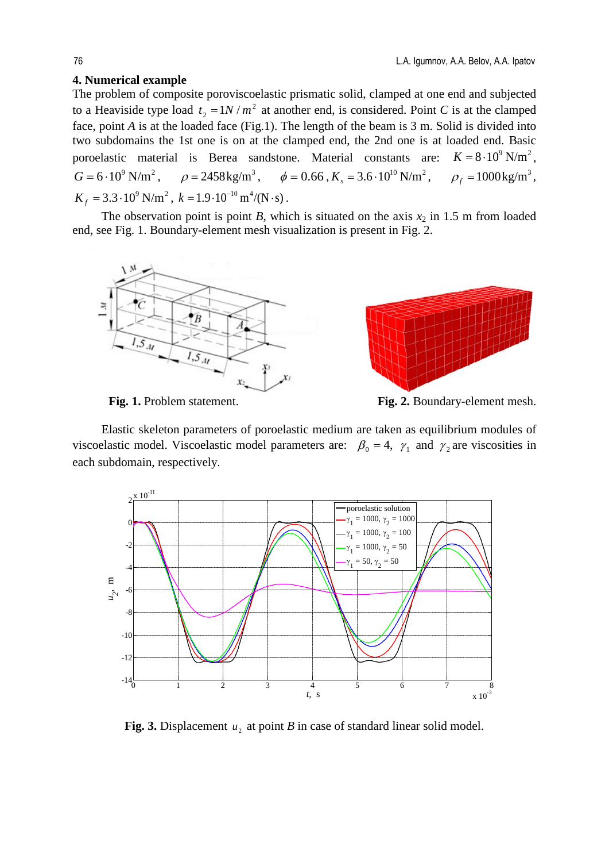## **4. Numerical example**

The problem of composite poroviscoelastic prismatic solid, clamped at one end and subjected to a Heaviside type load  $t_2 = 1N/m^2$  at another end, is considered. Point *C* is at the clamped face, point *A* is at the loaded face (Fig.1). The length of the beam is 3 m. Solid is divided into two subdomains the 1st one is on at the clamped end, the 2nd one is at loaded end. Basic poroelastic material is Berea sandstone. Material constants are:  $K = 8.10^9$  N/m<sup>2</sup>.  $G = 6.10^9$  N/m<sup>2</sup>,  $\rho = 2458$  kg/m<sup>3</sup>,  $\phi = 0.66$ ,  $K_s = 3.6 \cdot 10^{10}$  N/m<sup>2</sup>,  $\rho_f = 1000$  kg/m<sup>3</sup>,  $K_f = 3.3 \cdot 10^9$  N/m<sup>2</sup>,  $k = 1.9 \cdot 10^{-10}$  m<sup>4</sup>/(N·s).

The observation point is point *B*, which is situated on the axis  $x_2$  in 1.5 m from loaded end, see Fig. 1. Boundary-element mesh visualization is present in Fig. 2.



Fig. 1. Problem statement. **Fig. 2.** Boundary-element mesh.

Elastic skeleton parameters of poroelastic medium are taken as equilibrium modules of viscoelastic model. Viscoelastic model parameters are:  $\beta_0 = 4$ ,  $\gamma_1$  and  $\gamma_2$  are viscosities in each subdomain, respectively.



**Fig. 3.** Displacement  $u_2$  at point *B* in case of standard linear solid model.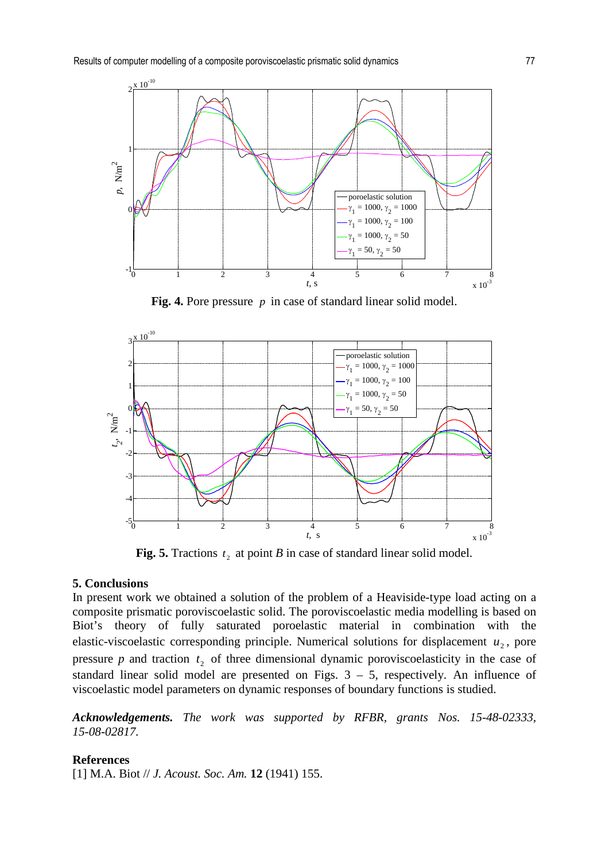

**Fig. 4.** Pore pressure *p* in case of standard linear solid model.



**Fig. 5.** Tractions  $t_2$ , at point *B* in case of standard linear solid model.

## **5. Conclusions**

In present work we obtained a solution of the problem of a Heaviside-type load acting on a composite prismatic poroviscoelastic solid. The poroviscoelastic media modelling is based on Biot's theory of fully saturated poroelastic material in combination with the elastic-viscoelastic corresponding principle. Numerical solutions for displacement  $u_2$ , pore pressure  $p$  and traction  $t_2$  of three dimensional dynamic poroviscoelasticity in the case of standard linear solid model are presented on Figs. 3 – 5, respectively. An influence of viscoelastic model parameters on dynamic responses of boundary functions is studied.

*Acknowledgements. The work was supported by RFBR, grants Nos. 15-48-02333, 15-08-02817.*

#### **References**

[1] M.A. Biot // *J. Acoust. Soc. Am.* **12** (1941) 155.